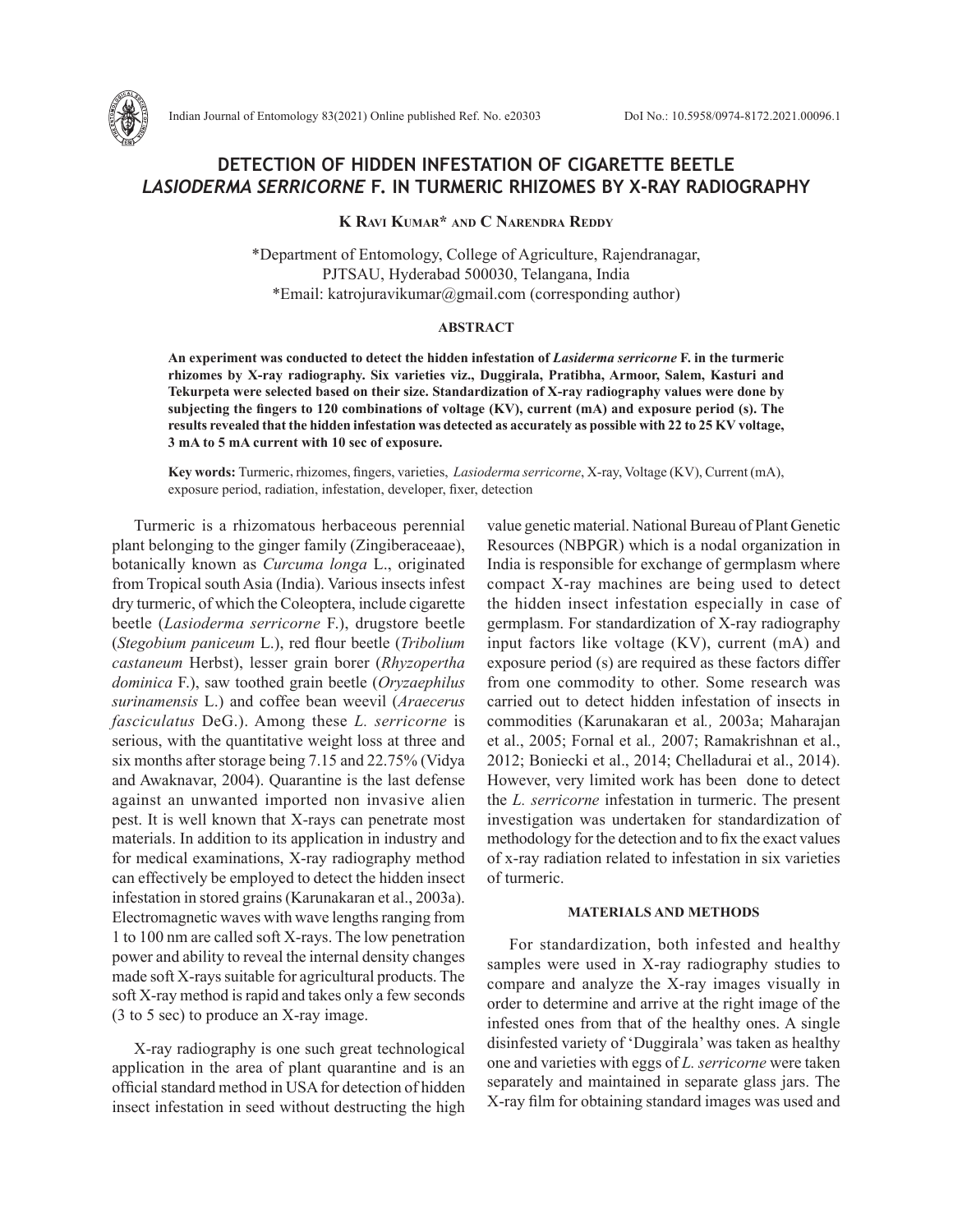# **DETECTION OF HIDDEN INFESTATION OF CIGARETTE BEETLE**  *LASIODERMA SERRICORNE* **F. IN TURMERIC RHIZOMES BY X-RAY RADIOGRAPHY**

**K Ravi Kumar\* and C Narendra Reddy**

\*Department of Entomology, College of Agriculture, Rajendranagar, PJTSAU, Hyderabad 500030, Telangana, India \*Email: katrojuravikumar@gmail.com (corresponding author)

## **ABSTRACT**

**An experiment was conducted to detect the hidden infestation of** *Lasiderma serricorne* **F. in the turmeric rhizomes by X-ray radiography. Six varieties viz., Duggirala, Pratibha, Armoor, Salem, Kasturi and Tekurpeta were selected based on their size. Standardization of X-ray radiography values were done by subjecting the fingers to 120 combinations of voltage (KV), current (mA) and exposure period (s). The results revealed that the hidden infestation was detected as accurately as possible with 22 to 25 KV voltage, 3 mA to 5 mA current with 10 sec of exposure.**

**Key words:** Turmeric, rhizomes, fingers, varieties, *Lasioderma serricorne*, X-ray, Voltage (KV), Current (mA), exposure period, radiation, infestation, developer, fixer, detection

Turmeric is a rhizomatous herbaceous perennial plant belonging to the ginger family (Zingiberaceaae), botanically known as *Curcuma longa* L., originated from Tropical south Asia (India). Various insects infest dry turmeric, of which the Coleoptera, include cigarette beetle (*Lasioderma serricorne* F.), drugstore beetle (*Stegobium paniceum* L.), red flour beetle (*Tribolium castaneum* Herbst), lesser grain borer (*Rhyzopertha dominica* F.), saw toothed grain beetle (*Oryzaephilus surinamensis* L.) and coffee bean weevil (*Araecerus fasciculatus* DeG.). Among these *L. serricorne* is serious, with the quantitative weight loss at three and six months after storage being 7.15 and 22.75% (Vidya and Awaknavar, 2004). Quarantine is the last defense against an unwanted imported non invasive alien pest. It is well known that X-rays can penetrate most materials. In addition to its application in industry and for medical examinations, X-ray radiography method can effectively be employed to detect the hidden insect infestation in stored grains (Karunakaran et al., 2003a). Electromagnetic waves with wave lengths ranging from 1 to 100 nm are called soft X-rays. The low penetration power and ability to reveal the internal density changes made soft X-rays suitable for agricultural products. The soft X-ray method is rapid and takes only a few seconds (3 to 5 sec) to produce an X-ray image.

X-ray radiography is one such great technological application in the area of plant quarantine and is an official standard method in USA for detection of hidden insect infestation in seed without destructing the high value genetic material. National Bureau of Plant Genetic Resources (NBPGR) which is a nodal organization in India is responsible for exchange of germplasm where compact X-ray machines are being used to detect the hidden insect infestation especially in case of germplasm. For standardization of X-ray radiography input factors like voltage (KV), current (mA) and exposure period (s) are required as these factors differ from one commodity to other. Some research was carried out to detect hidden infestation of insects in commodities (Karunakaran et al*.,* 2003a; Maharajan et al., 2005; Fornal et al*.,* 2007; Ramakrishnan et al., 2012; Boniecki et al., 2014; Chelladurai et al., 2014). However, very limited work has been done to detect the *L. serricorne* infestation in turmeric. The present investigation was undertaken for standardization of methodology for the detection and to fix the exact values of x-ray radiation related to infestation in six varieties of turmeric.

## **MATERIALS AND METHODS**

For standardization, both infested and healthy samples were used in X-ray radiography studies to compare and analyze the X-ray images visually in order to determine and arrive at the right image of the infested ones from that of the healthy ones. A single disinfested variety of 'Duggirala' was taken as healthy one and varieties with eggs of *L. serricorne* were taken separately and maintained in separate glass jars. The X-ray film for obtaining standard images was used and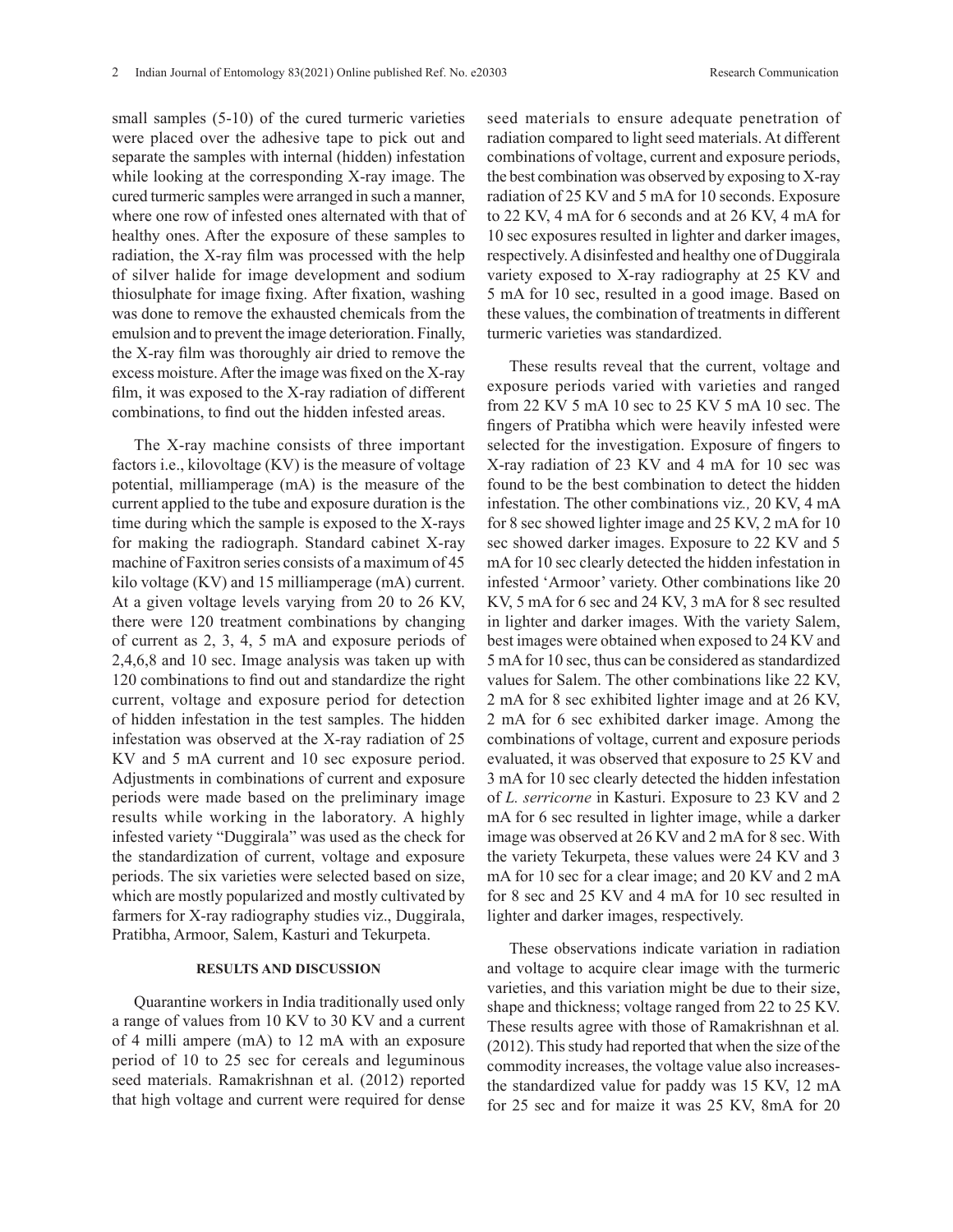small samples  $(5-10)$  of the cured turmeric varieties were placed over the adhesive tape to pick out and separate the samples with internal (hidden) infestation while looking at the corresponding X-ray image. The cured turmeric samples were arranged in such a manner, where one row of infested ones alternated with that of healthy ones. After the exposure of these samples to radiation, the X-ray film was processed with the help of silver halide for image development and sodium thiosulphate for image fixing. After fixation, washing was done to remove the exhausted chemicals from the emulsion and to prevent the image deterioration. Finally, the X-ray film was thoroughly air dried to remove the excess moisture. After the image was fixed on the X-ray film, it was exposed to the X-ray radiation of different combinations, to find out the hidden infested areas.

The X-ray machine consists of three important factors i.e., kilovoltage (KV) is the measure of voltage potential, milliamperage (mA) is the measure of the current applied to the tube and exposure duration is the time during which the sample is exposed to the X-rays for making the radiograph. Standard cabinet X-ray machine of Faxitron series consists of a maximum of 45 kilo voltage (KV) and 15 milliamperage (mA) current. At a given voltage levels varying from 20 to 26 KV, there were 120 treatment combinations by changing of current as 2, 3, 4, 5 mA and exposure periods of 2,4,6,8 and 10 sec. Image analysis was taken up with 120 combinations to find out and standardize the right current, voltage and exposure period for detection of hidden infestation in the test samples. The hidden infestation was observed at the X-ray radiation of 25 KV and 5 mA current and 10 sec exposure period. Adjustments in combinations of current and exposure periods were made based on the preliminary image results while working in the laboratory. A highly infested variety "Duggirala" was used as the check for the standardization of current, voltage and exposure periods. The six varieties were selected based on size, which are mostly popularized and mostly cultivated by farmers for X-ray radiography studies viz., Duggirala, Pratibha, Armoor, Salem, Kasturi and Tekurpeta.

#### **RESULTS AND DISCUSSION**

Quarantine workers in India traditionally used only a range of values from 10 KV to 30 KV and a current of 4 milli ampere (mA) to 12 mA with an exposure period of 10 to 25 sec for cereals and leguminous seed materials. Ramakrishnan et al. (2012) reported that high voltage and current were required for dense seed materials to ensure adequate penetration of radiation compared to light seed materials. At different combinations of voltage, current and exposure periods, the best combination was observed by exposing to X-ray radiation of 25 KV and 5 mA for 10 seconds. Exposure to 22 KV, 4 mA for 6 seconds and at 26 KV, 4 mA for 10 sec exposures resulted in lighter and darker images, respectively. A disinfested and healthy one of Duggirala variety exposed to X-ray radiography at 25 KV and 5 mA for 10 sec, resulted in a good image. Based on these values, the combination of treatments in different turmeric varieties was standardized.

These results reveal that the current, voltage and exposure periods varied with varieties and ranged from 22 KV 5 mA 10 sec to 25 KV 5 mA 10 sec. The fingers of Pratibha which were heavily infested were selected for the investigation. Exposure of fingers to X-ray radiation of 23 KV and 4 mA for 10 sec was found to be the best combination to detect the hidden infestation. The other combinations viz*.,* 20 KV, 4 mA for 8 sec showed lighter image and 25 KV, 2 mA for 10 sec showed darker images. Exposure to 22 KV and 5 mA for 10 sec clearly detected the hidden infestation in infested 'Armoor' variety. Other combinations like 20 KV, 5 mA for 6 sec and 24 KV, 3 mA for 8 sec resulted in lighter and darker images. With the variety Salem, best images were obtained when exposed to 24 KV and 5 mA for 10 sec, thus can be considered as standardized values for Salem. The other combinations like 22 KV, 2 mA for 8 sec exhibited lighter image and at 26 KV, 2 mA for 6 sec exhibited darker image. Among the combinations of voltage, current and exposure periods evaluated, it was observed that exposure to 25 KV and 3 mA for 10 sec clearly detected the hidden infestation of *L. serricorne* in Kasturi. Exposure to 23 KV and 2 mA for 6 sec resulted in lighter image, while a darker image was observed at 26 KV and 2 mA for 8 sec. With the variety Tekurpeta, these values were 24 KV and 3 mA for 10 sec for a clear image; and 20 KV and 2 mA for 8 sec and 25 KV and 4 mA for 10 sec resulted in lighter and darker images, respectively.

These observations indicate variation in radiation and voltage to acquire clear image with the turmeric varieties, and this variation might be due to their size, shape and thickness; voltage ranged from 22 to 25 KV. These results agree with those of Ramakrishnan et al*.*  (2012). This study had reported that when the size of the commodity increases, the voltage value also increasesthe standardized value for paddy was 15 KV, 12 mA for 25 sec and for maize it was 25 KV, 8mA for 20